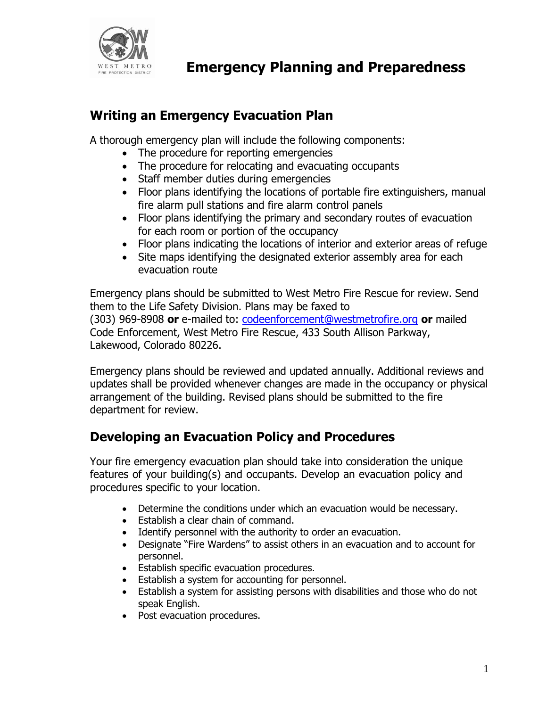

## **Writing an Emergency Evacuation Plan**

A thorough emergency plan will include the following components:

- The procedure for reporting emergencies
- The procedure for relocating and evacuating occupants
- Staff member duties during emergencies
- Floor plans identifying the locations of portable fire extinguishers, manual fire alarm pull stations and fire alarm control panels
- Floor plans identifying the primary and secondary routes of evacuation for each room or portion of the occupancy
- Floor plans indicating the locations of interior and exterior areas of refuge
- Site maps identifying the designated exterior assembly area for each evacuation route

Emergency plans should be submitted to West Metro Fire Rescue for review. Send them to the Life Safety Division. Plans may be faxed to (303) 969-8908 **or** e-mailed to: [codeenforcement@westmetrofire.org](mailto:codeenforcement@westmetrofire.org) **or** mailed Code Enforcement, West Metro Fire Rescue, 433 South Allison Parkway, Lakewood, Colorado 80226.

Emergency plans should be reviewed and updated annually. Additional reviews and updates shall be provided whenever changes are made in the occupancy or physical arrangement of the building. Revised plans should be submitted to the fire department for review.

# **Developing an Evacuation Policy and Procedures**

Your fire emergency evacuation plan should take into consideration the unique features of your building(s) and occupants. Develop an evacuation policy and procedures specific to your location.

- Determine the conditions under which an evacuation would be necessary.
- Establish a clear chain of command.
- Identify personnel with the authority to order an evacuation.
- Designate "Fire Wardens" to assist others in an evacuation and to account for personnel.
- **•** Establish specific evacuation procedures.
- **Establish a system for accounting for personnel.**
- Establish a system for assisting persons with disabilities and those who do not speak English.
- Post evacuation procedures.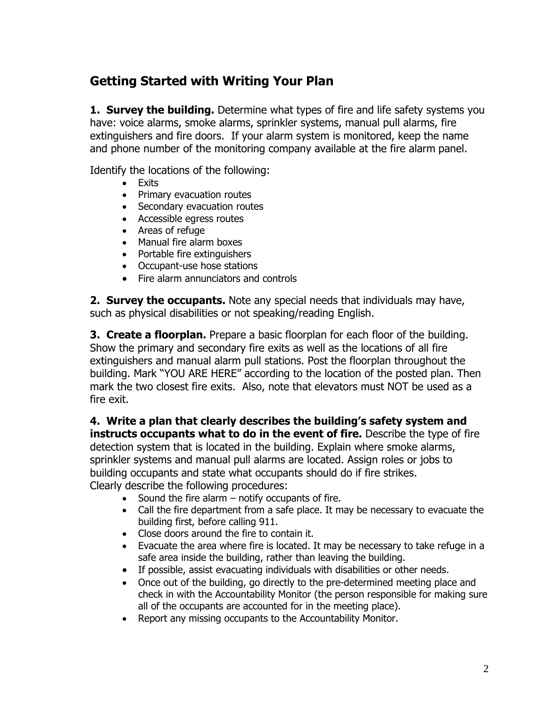## **Getting Started with Writing Your Plan**

**1. Survey the building.** Determine what types of fire and life safety systems you have: voice alarms, smoke alarms, sprinkler systems, manual pull alarms, fire extinguishers and fire doors. If your alarm system is monitored, keep the name and phone number of the monitoring company available at the fire alarm panel.

Identify the locations of the following:

- Exits
- Primary evacuation routes
- Secondary evacuation routes
- Accessible egress routes
- Areas of refuge
- Manual fire alarm boxes
- Portable fire extinguishers
- Occupant-use hose stations
- Fire alarm annunciators and controls

**2. Survey the occupants.** Note any special needs that individuals may have, such as physical disabilities or not speaking/reading English.

**3. Create a floorplan.** Prepare a basic floorplan for each floor of the building. Show the primary and secondary fire exits as well as the locations of all fire extinguishers and manual alarm pull stations. Post the floorplan throughout the building. Mark "YOU ARE HERE" according to the location of the posted plan. Then mark the two closest fire exits. Also, note that elevators must NOT be used as a fire exit.

**4. Write a plan that clearly describes the building's safety system and instructs occupants what to do in the event of fire.** Describe the type of fire detection system that is located in the building. Explain where smoke alarms, sprinkler systems and manual pull alarms are located. Assign roles or jobs to building occupants and state what occupants should do if fire strikes. Clearly describe the following procedures:

- $\bullet$  Sound the fire alarm  $-$  notify occupants of fire.
- Call the fire department from a safe place. It may be necessary to evacuate the building first, before calling 911.
- Close doors around the fire to contain it.
- Evacuate the area where fire is located. It may be necessary to take refuge in a safe area inside the building, rather than leaving the building.
- If possible, assist evacuating individuals with disabilities or other needs.
- Once out of the building, go directly to the pre-determined meeting place and check in with the Accountability Monitor (the person responsible for making sure all of the occupants are accounted for in the meeting place).
- Report any missing occupants to the Accountability Monitor.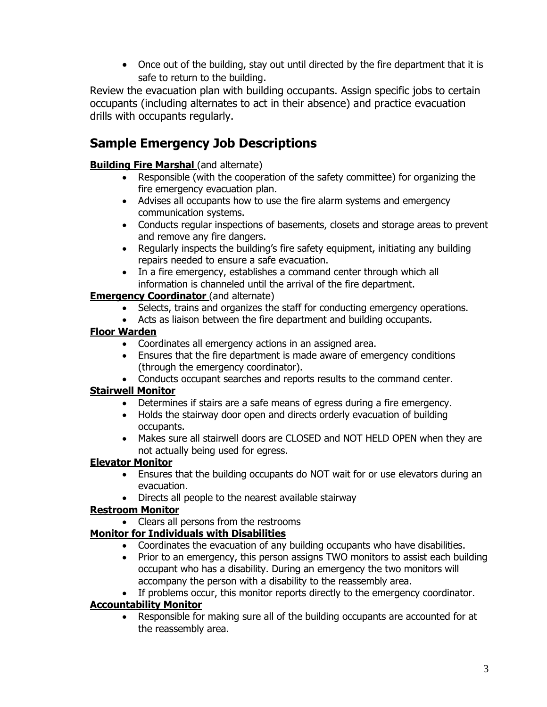• Once out of the building, stay out until directed by the fire department that it is safe to return to the building.

Review the evacuation plan with building occupants. Assign specific jobs to certain occupants (including alternates to act in their absence) and practice evacuation drills with occupants regularly.

# **Sample Emergency Job Descriptions**

#### **Building Fire Marshal (and alternate)**

- Responsible (with the cooperation of the safety committee) for organizing the fire emergency evacuation plan.
- Advises all occupants how to use the fire alarm systems and emergency communication systems.
- Conducts regular inspections of basements, closets and storage areas to prevent and remove any fire dangers.
- Regularly inspects the building's fire safety equipment, initiating any building repairs needed to ensure a safe evacuation.
- In a fire emergency, establishes a command center through which all information is channeled until the arrival of the fire department.

#### **Emergency Coordinator** (and alternate)

- Selects, trains and organizes the staff for conducting emergency operations.
- Acts as liaison between the fire department and building occupants.

#### **Floor Warden**

- Coordinates all emergency actions in an assigned area.
- Ensures that the fire department is made aware of emergency conditions (through the emergency coordinator).
- Conducts occupant searches and reports results to the command center.

### **Stairwell Monitor**

- Determines if stairs are a safe means of egress during a fire emergency.
- Holds the stairway door open and directs orderly evacuation of building occupants.
- Makes sure all stairwell doors are CLOSED and NOT HELD OPEN when they are not actually being used for egress.

#### **Elevator Monitor**

- Ensures that the building occupants do NOT wait for or use elevators during an evacuation.
- Directs all people to the nearest available stairway

#### **Restroom Monitor**

• Clears all persons from the restrooms

### **Monitor for Individuals with Disabilities**

- Coordinates the evacuation of any building occupants who have disabilities.
- Prior to an emergency, this person assigns TWO monitors to assist each building occupant who has a disability. During an emergency the two monitors will accompany the person with a disability to the reassembly area.
- If problems occur, this monitor reports directly to the emergency coordinator.

#### **Accountability Monitor**

 Responsible for making sure all of the building occupants are accounted for at the reassembly area.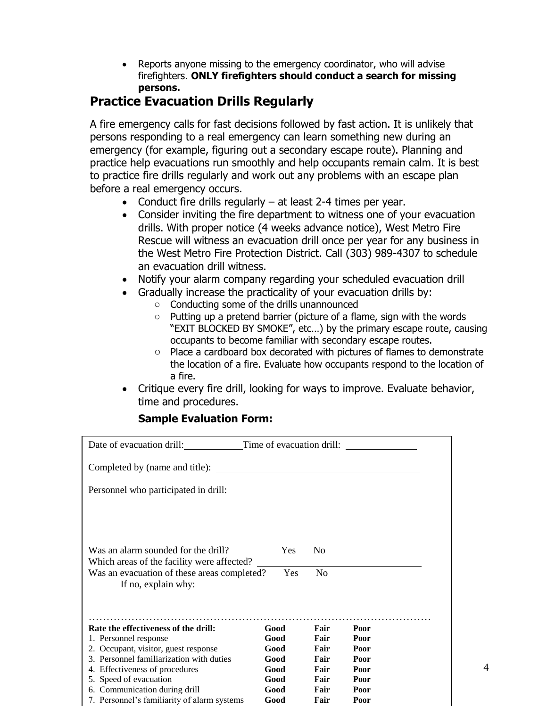Reports anyone missing to the emergency coordinator, who will advise firefighters. **ONLY firefighters should conduct a search for missing persons.**

## **Practice Evacuation Drills Regularly**

A fire emergency calls for fast decisions followed by fast action. It is unlikely that persons responding to a real emergency can learn something new during an emergency (for example, figuring out a secondary escape route). Planning and practice help evacuations run smoothly and help occupants remain calm. It is best to practice fire drills regularly and work out any problems with an escape plan before a real emergency occurs.

- Conduct fire drills regularly  $-$  at least 2-4 times per year.
- Consider inviting the fire department to witness one of your evacuation drills. With proper notice (4 weeks advance notice), West Metro Fire Rescue will witness an evacuation drill once per year for any business in the West Metro Fire Protection District. Call (303) 989-4307 to schedule an evacuation drill witness.
- Notify your alarm company regarding your scheduled evacuation drill
- Gradually increase the practicality of your evacuation drills by:
	- o Conducting some of the drills unannounced
	- $\circ$  Putting up a pretend barrier (picture of a flame, sign with the words "EXIT BLOCKED BY SMOKE", etc…) by the primary escape route, causing occupants to become familiar with secondary escape routes.
	- o Place a cardboard box decorated with pictures of flames to demonstrate the location of a fire. Evaluate how occupants respond to the location of a fire.
- Critique every fire drill, looking for ways to improve. Evaluate behavior, time and procedures.

### **Sample Evaluation Form:**

| Date of evacuation drill:                                                         | Time of evacuation drill: |                |              |
|-----------------------------------------------------------------------------------|---------------------------|----------------|--------------|
| Completed by (name and title):                                                    |                           |                |              |
| Personnel who participated in drill:                                              |                           |                |              |
|                                                                                   |                           |                |              |
|                                                                                   |                           |                |              |
| Was an alarm sounded for the drill?<br>Which areas of the facility were affected? | Yes                       | N <sub>0</sub> |              |
| Was an evacuation of these areas completed?<br>If no, explain why:                | Yes                       | N <sub>o</sub> |              |
|                                                                                   |                           |                |              |
| Rate the effectiveness of the drill:                                              | Good                      | Fair           | Poor         |
| 1. Personnel response                                                             | Good                      | Fair           | Poor         |
| 2. Occupant, visitor, guest response                                              | Good                      | Fair           | Poor         |
| 3. Personnel familiarization with duties                                          | Good                      | Fair           | Poor         |
| 4. Effectiveness of procedures                                                    | Good                      | Fair<br>Fair   | Poor         |
| 5. Speed of evacuation<br>6. Communication during drill                           | Good<br>Good              | Fair           | Poor<br>Poor |
| 7. Personnel's familiarity of alarm systems                                       | Good                      | Fair           | Poor         |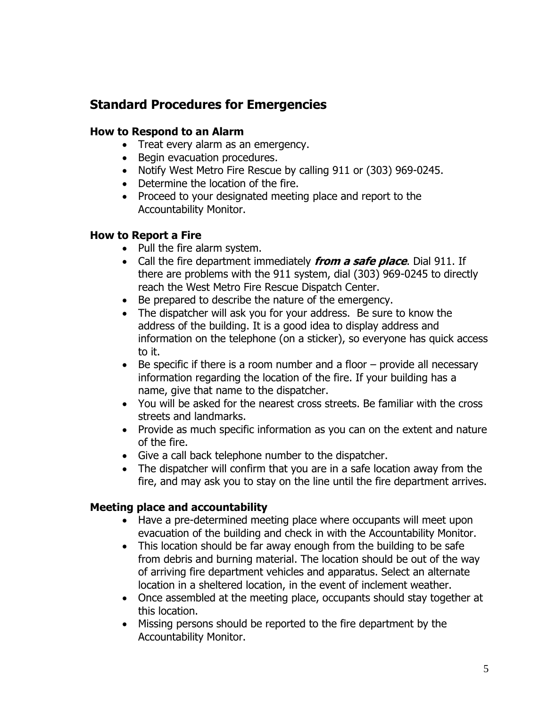# **Standard Procedures for Emergencies**

### **How to Respond to an Alarm**

- Treat every alarm as an emergency.
- Begin evacuation procedures.
- Notify West Metro Fire Rescue by calling 911 or (303) 969-0245.
- Determine the location of the fire.
- Proceed to your designated meeting place and report to the Accountability Monitor.

### **How to Report a Fire**

- Pull the fire alarm system.
- Call the fire department immediately **from a safe place**. Dial 911. If there are problems with the 911 system, dial (303) 969-0245 to directly reach the West Metro Fire Rescue Dispatch Center.
- Be prepared to describe the nature of the emergency.
- The dispatcher will ask you for your address. Be sure to know the address of the building. It is a good idea to display address and information on the telephone (on a sticker), so everyone has quick access to it.
- $\bullet$  Be specific if there is a room number and a floor  $-$  provide all necessary information regarding the location of the fire. If your building has a name, give that name to the dispatcher.
- You will be asked for the nearest cross streets. Be familiar with the cross streets and landmarks.
- Provide as much specific information as you can on the extent and nature of the fire.
- Give a call back telephone number to the dispatcher.
- The dispatcher will confirm that you are in a safe location away from the fire, and may ask you to stay on the line until the fire department arrives.

## **Meeting place and accountability**

- Have a pre-determined meeting place where occupants will meet upon evacuation of the building and check in with the Accountability Monitor.
- This location should be far away enough from the building to be safe from debris and burning material. The location should be out of the way of arriving fire department vehicles and apparatus. Select an alternate location in a sheltered location, in the event of inclement weather.
- Once assembled at the meeting place, occupants should stay together at this location.
- Missing persons should be reported to the fire department by the Accountability Monitor.